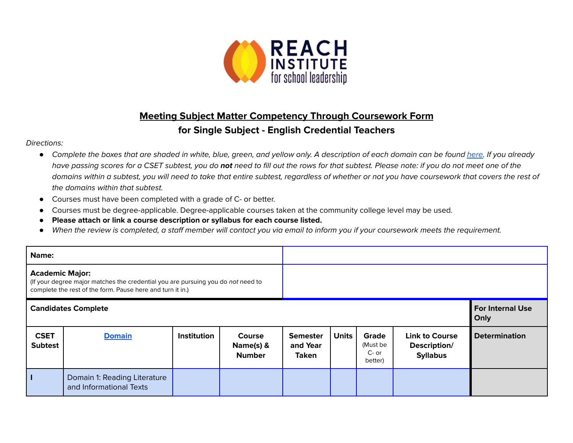

## **Meeting Subject Matter Competency Through Coursework Form for Single Subject - English Credential Teachers**

## Directions:

- *●* Complete the boxes that are shaded in white, blue, green, and yellow only. A description of each domain can be found [here.](https://www.ctc.ca.gov/docs/default-source/educator-prep/files/domains-of-subject-matter-requirements.pdf?sfvrsn=dcd525b1_2) If you already have passing scores for a CSET subtest, you do **not** need to fill out the rows for that subtest. Please note: if you do not meet one of the domains within a subtest, you will need to take that entire subtest, regardless of whether or not you have coursework that covers the rest of the domains within that subtest.
- *●* Courses must have been completed with a grade of C- or better.
- Courses must be degree-applicable. Degree-applicable courses taken at the community college level may be used.
- *●* **Please attach or link a course description or syllabus for each course listed.**
- *●* When the review is completed, a staff member will contact you via email to inform you if your coursework meets the requirement.

| Name:                                                                                                                                                                    |                                                         |             |                                             |                                             |                                 |                                         |                                                          |                      |
|--------------------------------------------------------------------------------------------------------------------------------------------------------------------------|---------------------------------------------------------|-------------|---------------------------------------------|---------------------------------------------|---------------------------------|-----------------------------------------|----------------------------------------------------------|----------------------|
| <b>Academic Major:</b><br>(If your degree major matches the credential you are pursuing you do not need to<br>complete the rest of the form. Pause here and turn it in.) |                                                         |             |                                             |                                             |                                 |                                         |                                                          |                      |
| <b>Candidates Complete</b>                                                                                                                                               |                                                         |             |                                             |                                             | <b>For Internal Use</b><br>Only |                                         |                                                          |                      |
| <b>CSET</b><br><b>Subtest</b>                                                                                                                                            | <b>Domain</b>                                           | Institution | <b>Course</b><br>Name(s) &<br><b>Number</b> | <b>Semester</b><br>and Year<br><b>Taken</b> | <b>Units</b>                    | Grade<br>(Must be<br>$C-$ or<br>better) | <b>Link to Course</b><br>Description/<br><b>Syllabus</b> | <b>Determination</b> |
|                                                                                                                                                                          | Domain 1: Reading Literature<br>and Informational Texts |             |                                             |                                             |                                 |                                         |                                                          |                      |